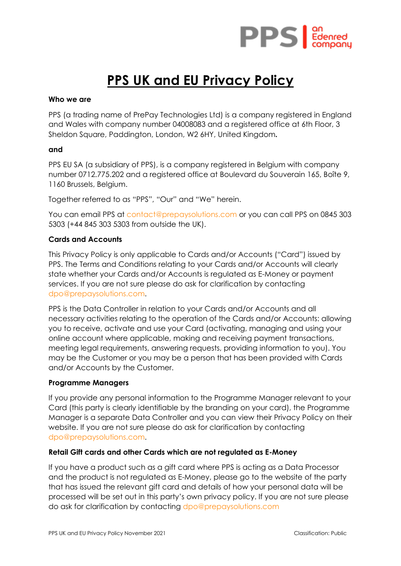

# **PPS UK and EU Privacy Policy**

#### **Who we are**

PPS (a trading name of PrePay Technologies Ltd) is a company registered in England and Wales with company number 04008083 and a registered office at 6th Floor, 3 Sheldon Square, Paddington, London, W2 6HY, United Kingdom**.** 

#### **and**

PPS EU SA (a subsidiary of PPS), is a company registered in Belgium with company number 0712.775.202 and a registered office at Boulevard du Souverain 165, Boîte 9, 1160 Brussels, Belgium.

Together referred to as "PPS", "Our" and "We" herein.

You can email PPS at [contact@prepaysolutions.com](mailto:contact@prepaysolutions.com) or you can call PPS on 0845 303 5303 (+44 845 303 5303 from outside the UK).

## **Cards and Accounts**

This Privacy Policy is only applicable to Cards and/or Accounts ("Card") issued by PPS. The Terms and Conditions relating to your Cards and/or Accounts will clearly state whether your Cards and/or Accounts is regulated as E-Money or payment services. If you are not sure please do ask for clarification by contacting [dpo@prepaysolutions.com.](mailto:dpo@prepaysolutions.com)

PPS is the Data Controller in relation to your Cards and/or Accounts and all necessary activities relating to the operation of the Cards and/or Accounts: allowing you to receive, activate and use your Card (activating, managing and using your online account where applicable, making and receiving payment transactions, meeting legal requirements, answering requests, providing information to you). You may be the Customer or you may be a person that has been provided with Cards and/or Accounts by the Customer.

## **Programme Managers**

If you provide any personal information to the Programme Manager relevant to your Card (this party is clearly identifiable by the branding on your card), the Programme Manager is a separate Data Controller and you can view their Privacy Policy on their website. If you are not sure please do ask for clarification by contacting [dpo@prepaysolutions.com.](mailto:dpo@prepaysolutions.com)

## **Retail Gift cards and other Cards which are not regulated as E-Money**

If you have a product such as a gift card where PPS is acting as a Data Processor and the product is not regulated as E-Money, please go to the website of the party that has issued the relevant gift card and details of how your personal data will be processed will be set out in this party's own privacy policy. If you are not sure please do ask for clarification by contacting [dpo@prepaysolutions.com](mailto:dpo@prepaysolutions.com)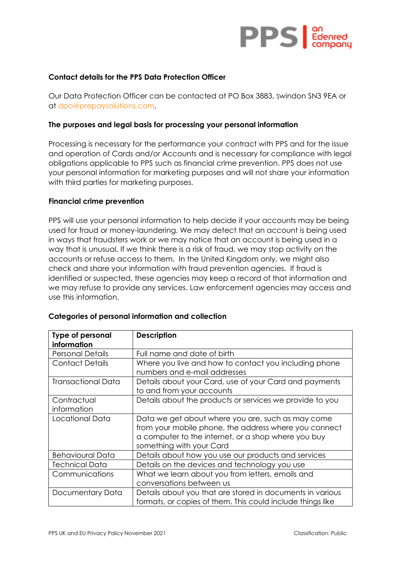

## **Contact details for the PPS Data Protection Officer**

Our Data Protection Officer can be contacted at PO Box 3883, Swindon SN3 9EA or at [dpo@prepaysolutions.com.](mailto:dpo@prepaysolutions.com)

#### **The purposes and legal basis for processing your personal information**

Processing is necessary for the performance your contract with PPS and for the issue and operation of Cards and/or Accounts and is necessary for compliance with legal obligations applicable to PPS such as financial crime prevention. PPS does not use your personal information for marketing purposes and will not share your information with third parties for marketing purposes.

#### **Financial crime prevention**

PPS will use your personal information to help decide if your accounts may be being used for fraud or money-laundering. We may detect that an account is being used in ways that fraudsters work or we may notice that an account is being used in a way that is unusual. If we think there is a risk of fraud, we may stop activity on the accounts or refuse access to them. In the United Kingdom only, we might also check and share your information with fraud prevention agencies. If fraud is identified or suspected, these agencies may keep a record of that information and we may refuse to provide any services. Law enforcement agencies may access and use this information.

| <b>Type of personal</b><br>information | <b>Description</b>                                                                                                                                                                            |
|----------------------------------------|-----------------------------------------------------------------------------------------------------------------------------------------------------------------------------------------------|
| <b>Personal Details</b>                | Full name and date of birth                                                                                                                                                                   |
| <b>Contact Details</b>                 | Where you live and how to contact you including phone<br>numbers and e-mail addresses                                                                                                         |
| <b>Transactional Data</b>              | Details about your Card, use of your Card and payments<br>to and from your accounts                                                                                                           |
| Contractual<br>information             | Details about the products or services we provide to you                                                                                                                                      |
| Locational Data                        | Data we get about where you are, such as may come<br>from your mobile phone, the address where you connect<br>a computer to the internet, or a shop where you buy<br>something with your Card |
| <b>Behavioural Data</b>                | Details about how you use our products and services                                                                                                                                           |
| Technical Data                         | Details on the devices and technology you use                                                                                                                                                 |
| Communications                         | What we learn about you from letters, emails and<br>conversations between us                                                                                                                  |
| Documentary Data                       | Details about you that are stored in documents in various<br>formats, or copies of them. This could include things like                                                                       |

## **Categories of personal information and collection**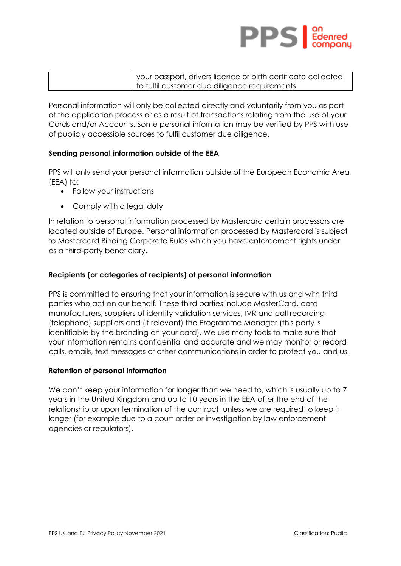

| I your passport, drivers licence or birth certificate collected |
|-----------------------------------------------------------------|
| I to fulfil customer due diligence requirements                 |

Personal information will only be collected directly and voluntarily from you as part of the application process or as a result of transactions relating from the use of your Cards and/or Accounts. Some personal information may be verified by PPS with use of publicly accessible sources to fulfil customer due diligence.

## **Sending personal information outside of the EEA**

PPS will only send your personal information outside of the European Economic Area (EEA) to:

- Follow your instructions
- Comply with a legal duty

In relation to personal information processed by Mastercard certain processors are located outside of Europe. Personal information processed by Mastercard is subject to Mastercard Binding Corporate Rules which you have enforcement rights under as a third-party beneficiary.

# **Recipients (or categories of recipients) of personal information**

PPS is committed to ensuring that your information is secure with us and with third parties who act on our behalf. These third parties include MasterCard, card manufacturers, suppliers of identity validation services, IVR and call recording (telephone) suppliers and (if relevant) the Programme Manager (this party is identifiable by the branding on your card). We use many tools to make sure that your information remains confidential and accurate and we may monitor or record calls, emails, text messages or other communications in order to protect you and us.

## **Retention of personal information**

We don't keep your information for longer than we need to, which is usually up to 7 years in the United Kingdom and up to 10 years in the EEA after the end of the relationship or upon termination of the contract, unless we are required to keep it longer (for example due to a court order or investigation by law enforcement agencies or regulators).